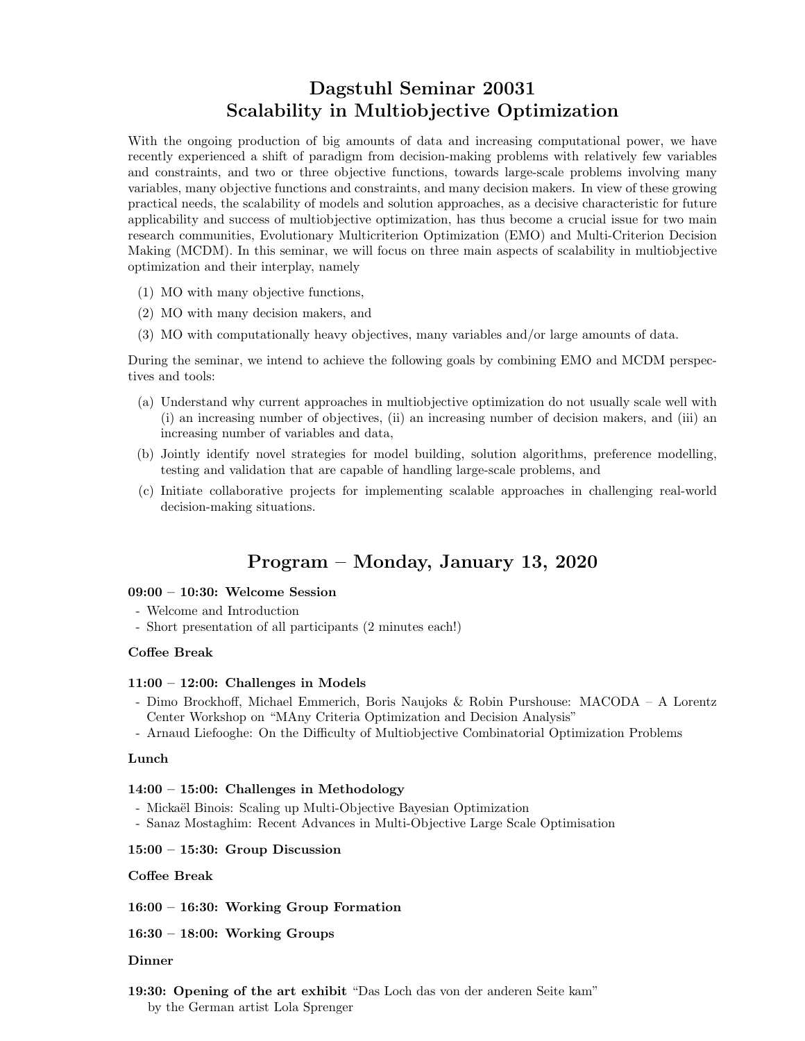With the ongoing production of big amounts of data and increasing computational power, we have recently experienced a shift of paradigm from decision-making problems with relatively few variables and constraints, and two or three objective functions, towards large-scale problems involving many variables, many objective functions and constraints, and many decision makers. In view of these growing practical needs, the scalability of models and solution approaches, as a decisive characteristic for future applicability and success of multiobjective optimization, has thus become a crucial issue for two main research communities, Evolutionary Multicriterion Optimization (EMO) and Multi-Criterion Decision Making (MCDM). In this seminar, we will focus on three main aspects of scalability in multiobjective optimization and their interplay, namely

- (1) MO with many objective functions,
- (2) MO with many decision makers, and
- (3) MO with computationally heavy objectives, many variables and/or large amounts of data.

During the seminar, we intend to achieve the following goals by combining EMO and MCDM perspectives and tools:

- (a) Understand why current approaches in multiobjective optimization do not usually scale well with (i) an increasing number of objectives, (ii) an increasing number of decision makers, and (iii) an increasing number of variables and data,
- (b) Jointly identify novel strategies for model building, solution algorithms, preference modelling, testing and validation that are capable of handling large-scale problems, and
- (c) Initiate collaborative projects for implementing scalable approaches in challenging real-world decision-making situations.

## Program – Monday, January 13, 2020

### 09:00 – 10:30: Welcome Session

- Welcome and Introduction
- Short presentation of all participants (2 minutes each!)

### Coffee Break

#### $11:00 - 12:00$ : Challenges in Models

- Dimo Brockhoff, Michael Emmerich, Boris Naujoks & Robin Purshouse: MACODA A Lorentz Center Workshop on "MAny Criteria Optimization and Decision Analysis"
- Arnaud Liefooghe: On the Difficulty of Multiobjective Combinatorial Optimization Problems

### Lunch

### 14:00 – 15:00: Challenges in Methodology

- Mickaël Binois: Scaling up Multi-Objective Bayesian Optimization
- Sanaz Mostaghim: Recent Advances in Multi-Objective Large Scale Optimisation

### 15:00 – 15:30: Group Discussion

### Coffee Break

16:00 – 16:30: Working Group Formation

16:30 – 18:00: Working Groups

#### Dinner

19:30: Opening of the art exhibit "Das Loch das von der anderen Seite kam" by the German artist Lola Sprenger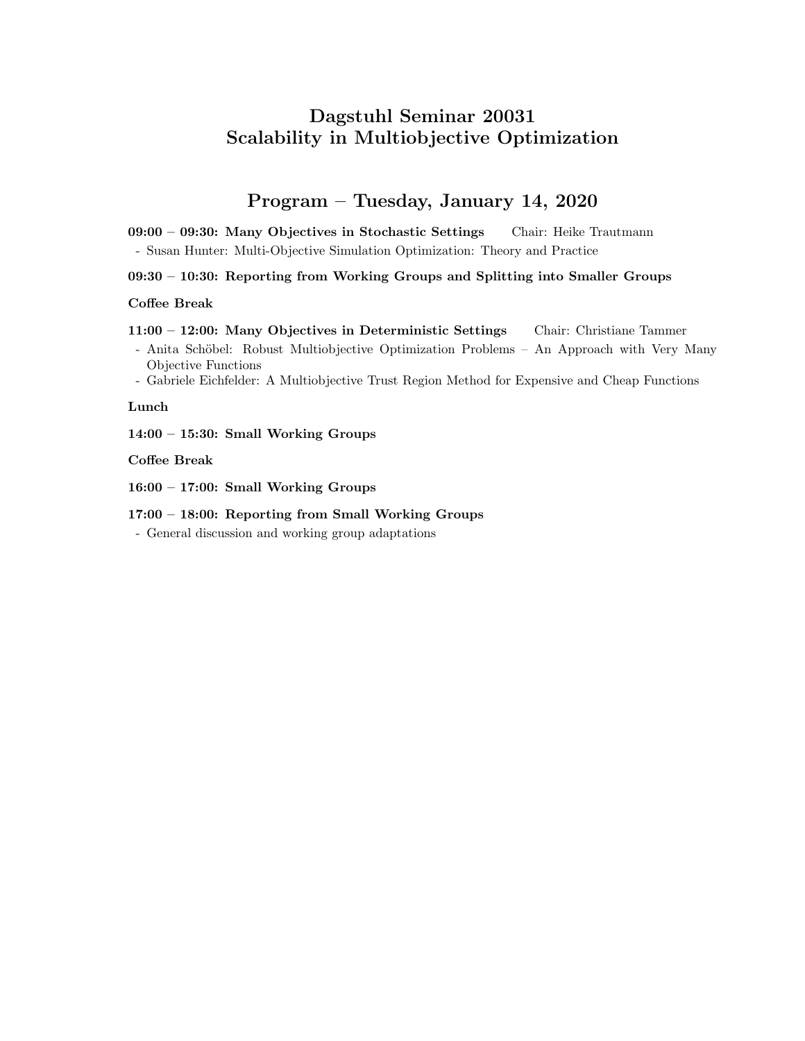## Program – Tuesday, January 14, 2020

09:00 – 09:30: Many Objectives in Stochastic Settings Chair: Heike Trautmann - Susan Hunter: Multi-Objective Simulation Optimization: Theory and Practice

09:30 – 10:30: Reporting from Working Groups and Splitting into Smaller Groups

### Coffee Break

11:00 – 12:00: Many Objectives in Deterministic Settings Chair: Christiane Tammer

- Anita Schöbel: Robust Multiobjective Optimization Problems An Approach with Very Many Objective Functions
- Gabriele Eichfelder: A Multiobjective Trust Region Method for Expensive and Cheap Functions

### Lunch

14:00 – 15:30: Small Working Groups

### Coffee Break

16:00 – 17:00: Small Working Groups

### 17:00 – 18:00: Reporting from Small Working Groups

- General discussion and working group adaptations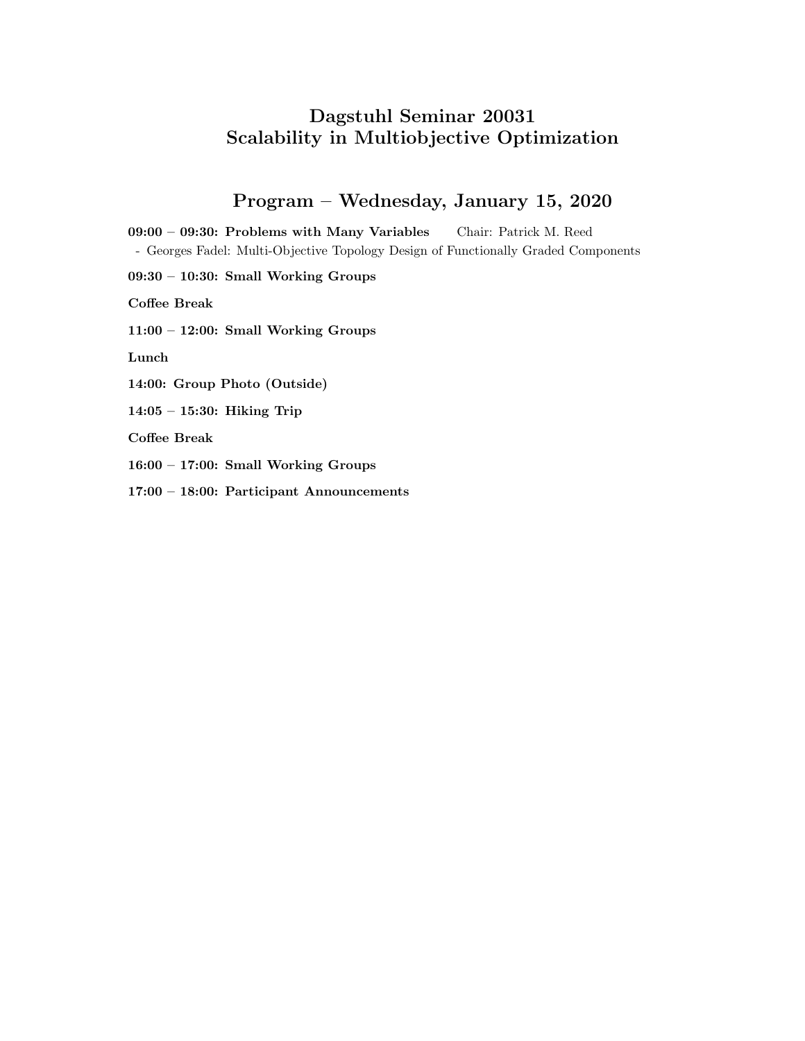# Program – Wednesday, January 15, 2020

09:00 – 09:30: Problems with Many Variables Chair: Patrick M. Reed - Georges Fadel: Multi-Objective Topology Design of Functionally Graded Components

09:30 – 10:30: Small Working Groups

Coffee Break

11:00 – 12:00: Small Working Groups

Lunch

14:00: Group Photo (Outside)

14:05 – 15:30: Hiking Trip

Coffee Break

16:00 – 17:00: Small Working Groups

17:00 – 18:00: Participant Announcements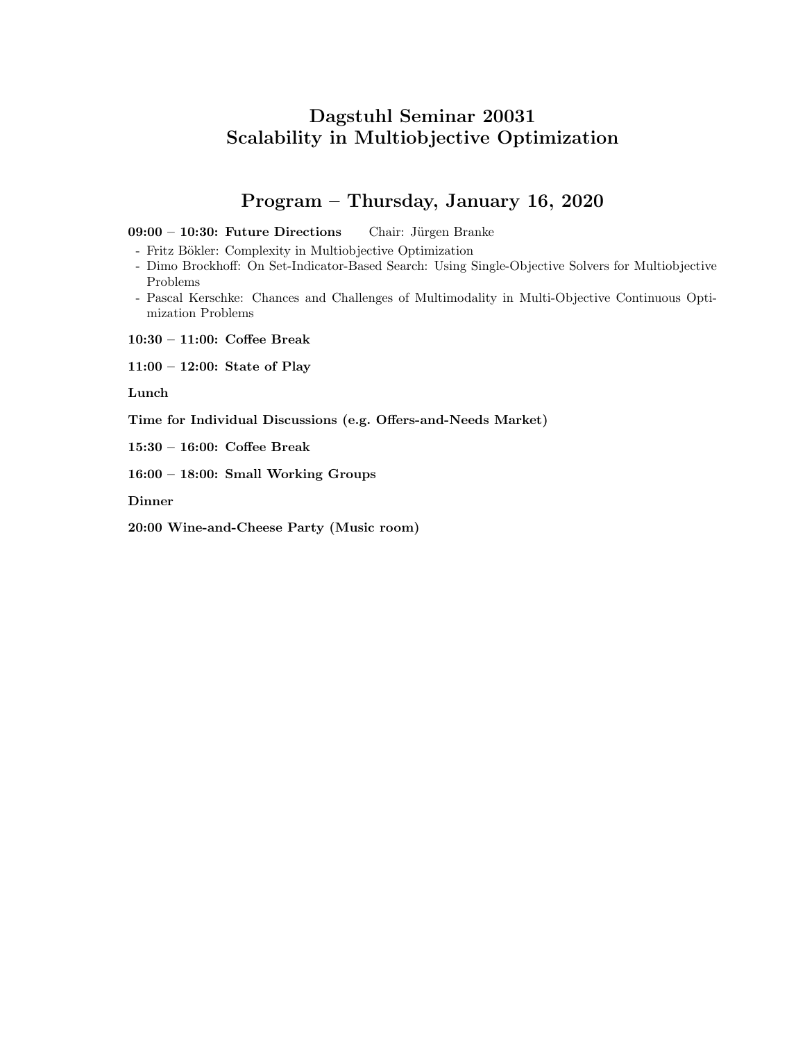## Program – Thursday, January 16, 2020

## 09:00 – 10:30: Future Directions Chair: Jürgen Branke

- Fritz Bökler: Complexity in Multiobjective Optimization

- Dimo Brockhoff: On Set-Indicator-Based Search: Using Single-Objective Solvers for Multiobjective Problems
- Pascal Kerschke: Chances and Challenges of Multimodality in Multi-Objective Continuous Optimization Problems

10:30 – 11:00: Coffee Break

11:00 – 12:00: State of Play

Lunch

Time for Individual Discussions (e.g. Offers-and-Needs Market)

15:30 – 16:00: Coffee Break

16:00 – 18:00: Small Working Groups

Dinner

20:00 Wine-and-Cheese Party (Music room)